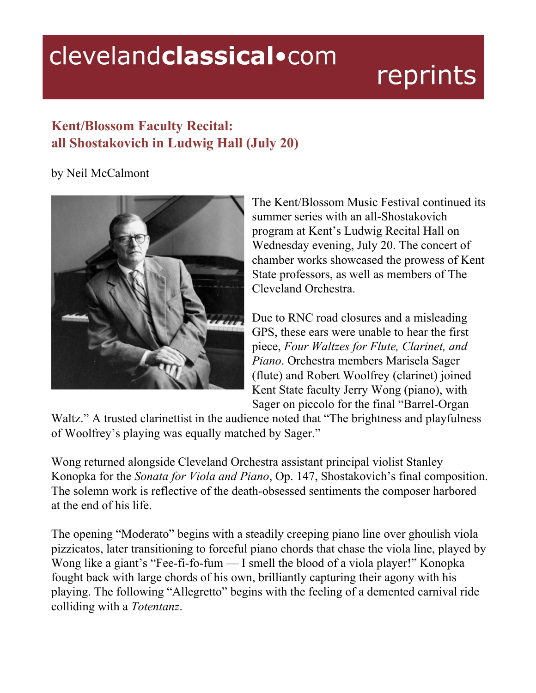## clevelandclassical.com

## reprints

## **Kent/Blossom Faculty Recital: all Shostakovich in Ludwig Hall (July 20)**

## by Neil McCalmont



The Kent/Blossom Music Festival continued its summer series with an all-Shostakovich program at Kent's Ludwig Recital Hall on Wednesday evening, July 20. The concert of chamber works showcased the prowess of Kent State professors, as well as members of The Cleveland Orchestra.

Due to RNC road closures and a misleading GPS, these ears were unable to hear the first piece, *Four Waltzes for Flute, Clarinet, and Piano*. Orchestra members Marisela Sager (flute) and Robert Woolfrey (clarinet) joined Kent State faculty Jerry Wong (piano), with Sager on piccolo for the final "Barrel-Organ"

Waltz." A trusted clarinettist in the audience noted that "The brightness and playfulness" of Woolfrey's playing was equally matched by Sager."

Wong returned alongside Cleveland Orchestra assistant principal violist Stanley Konopka for the *Sonata for Viola and Piano*, Op. 147, Shostakovich's final composition. The solemn work is reflective of the death-obsessed sentiments the composer harbored at the end of his life.

The opening "Moderato" begins with a steadily creeping piano line over ghoulish viola pizzicatos, later transitioning to forceful piano chords that chase the viola line, played by Wong like a giant's "Fee-fi-fo-fum — I smell the blood of a viola player!" Konopka fought back with large chords of his own, brilliantly capturing their agony with his playing. The following "Allegretto" begins with the feeling of a demented carnival ride colliding with a *Totentanz*.